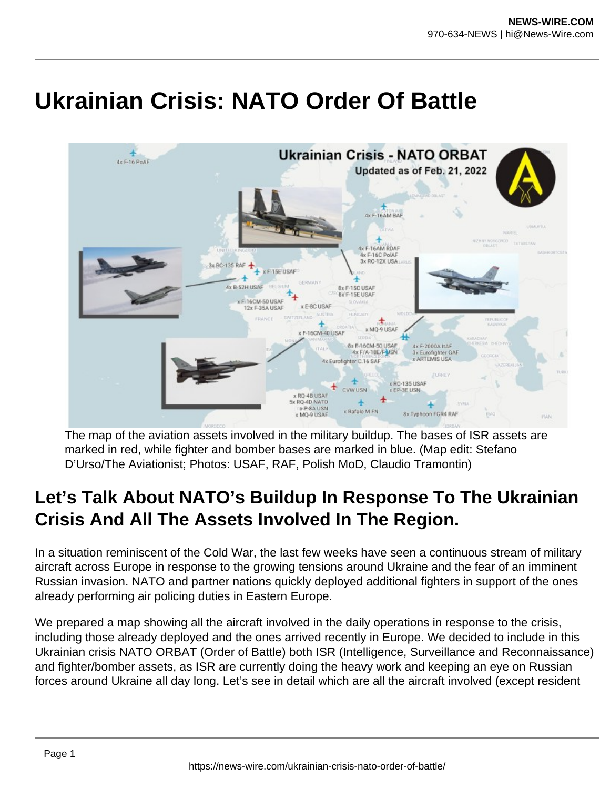# **Ukrainian Crisis: NATO Order Of Battle**



The map of the aviation assets involved in the military buildup. The bases of ISR assets are marked in red, while fighter and bomber bases are marked in blue. (Map edit: Stefano D'Urso/The Aviationist; Photos: USAF, RAF, Polish MoD, Claudio Tramontin)

# **Let's Talk About NATO's Buildup In Response To The Ukrainian Crisis And All The Assets Involved In The Region.**

In a situation reminiscent of the Cold War, the last few weeks have seen a continuous stream of military aircraft across Europe in response to the growing tensions around Ukraine and the fear of an imminent Russian invasion. NATO and partner nations quickly deployed additional fighters in support of the ones already performing air policing duties in Eastern Europe.

We prepared a map showing all the aircraft involved in the daily operations in response to the crisis, including those already deployed and the ones arrived recently in Europe. We decided to include in this Ukrainian crisis NATO ORBAT (Order of Battle) both ISR (Intelligence, Surveillance and Reconnaissance) and fighter/bomber assets, as ISR are currently doing the heavy work and keeping an eye on Russian forces around Ukraine all day long. Let's see in detail which are all the aircraft involved (except resident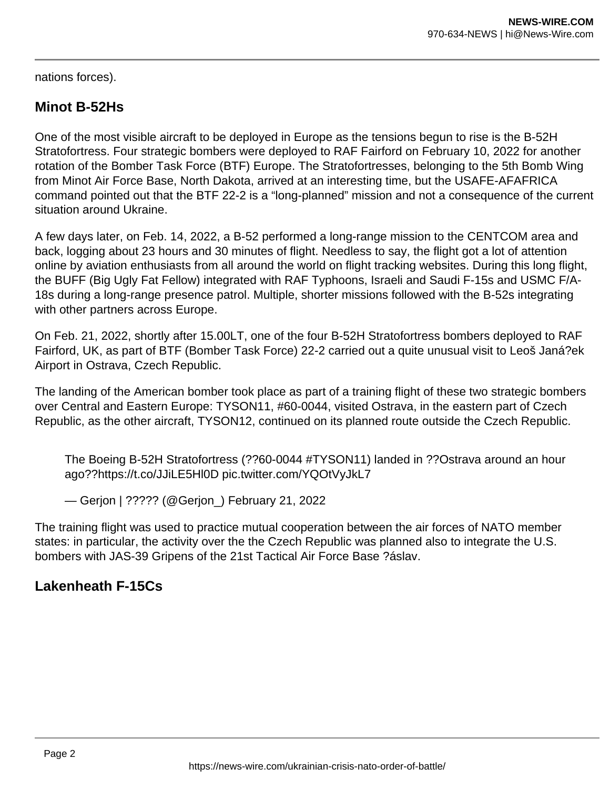nations forces).

# **Minot B-52Hs**

One of the most visible aircraft to be deployed in Europe as the tensions begun to rise is the B-52H Stratofortress. Four strategic bombers were deployed to RAF Fairford on February 10, 2022 for another rotation of the Bomber Task Force (BTF) Europe. The Stratofortresses, belonging to the 5th Bomb Wing from Minot Air Force Base, North Dakota, arrived at an interesting time, but the USAFE-AFAFRICA command pointed out that the BTF 22-2 is a "long-planned" mission and not a consequence of the current situation around Ukraine.

A few days later, on Feb. 14, 2022, a B-52 performed a long-range mission to the CENTCOM area and back, logging about 23 hours and 30 minutes of flight. Needless to say, the flight got a lot of attention online by aviation enthusiasts from all around the world on flight tracking websites. During this long flight, the BUFF (Big Ugly Fat Fellow) integrated with RAF Typhoons, Israeli and Saudi F-15s and USMC F/A-18s during a long-range presence patrol. Multiple, shorter missions followed with the B-52s integrating with other partners across Europe.

On Feb. 21, 2022, shortly after 15.00LT, one of the four B-52H Stratofortress bombers deployed to RAF Fairford, UK, as part of BTF (Bomber Task Force) 22-2 carried out a quite unusual visit to Leoš Janá?ek Airport in Ostrava, Czech Republic.

The landing of the American bomber took place as part of a training flight of these two strategic bombers over Central and Eastern Europe: TYSON11, #60-0044, visited Ostrava, in the eastern part of Czech Republic, as the other aircraft, TYSON12, continued on its planned route outside the Czech Republic.

The Boeing B-52H Stratofortress (??60-0044 #TYSON11) landed in ??Ostrava around an hour ago??https://t.co/JJiLE5Hl0D pic.twitter.com/YQOtVyJkL7

— Gerjon | ????? (@Gerjon\_) February 21, 2022

The training flight was used to practice mutual cooperation between the air forces of NATO member states: in particular, the activity over the the Czech Republic was planned also to integrate the U.S. bombers with JAS-39 Gripens of the 21st Tactical Air Force Base ?áslav.

#### **Lakenheath F-15Cs**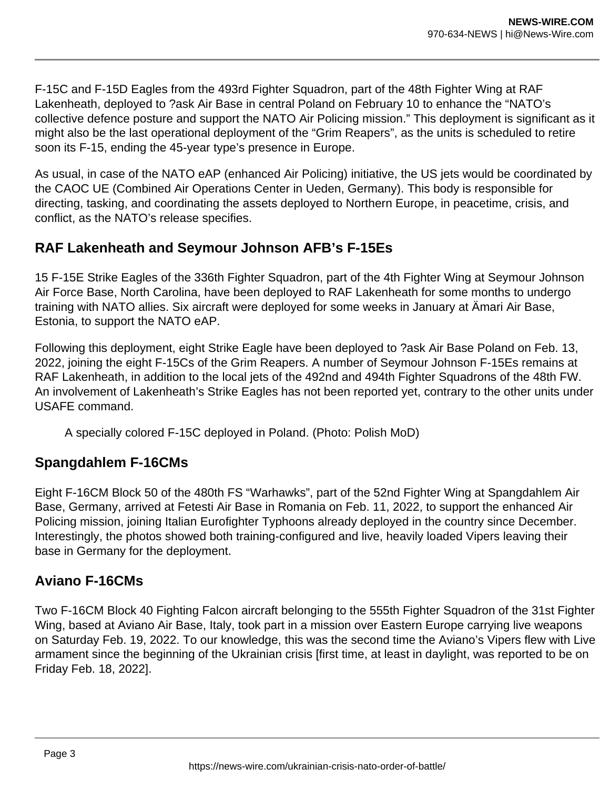F-15C and F-15D Eagles from the 493rd Fighter Squadron, part of the 48th Fighter Wing at RAF Lakenheath, deployed to ?ask Air Base in central Poland on February 10 to enhance the "NATO's collective defence posture and support the NATO Air Policing mission." This deployment is significant as it might also be the last operational deployment of the "Grim Reapers", as the units is scheduled to retire soon its F-15, ending the 45-year type's presence in Europe.

As usual, in case of the NATO eAP (enhanced Air Policing) initiative, the US jets would be coordinated by the CAOC UE (Combined Air Operations Center in Ueden, Germany). This body is responsible for directing, tasking, and coordinating the assets deployed to Northern Europe, in peacetime, crisis, and conflict, as the NATO's release specifies.

# **RAF Lakenheath and Seymour Johnson AFB's F-15Es**

15 F-15E Strike Eagles of the 336th Fighter Squadron, part of the 4th Fighter Wing at Seymour Johnson Air Force Base, North Carolina, have been deployed to RAF Lakenheath for some months to undergo training with NATO allies. Six aircraft were deployed for some weeks in January at Ämari Air Base, Estonia, to support the NATO eAP.

Following this deployment, eight Strike Eagle have been deployed to ?ask Air Base Poland on Feb. 13, 2022, joining the eight F-15Cs of the Grim Reapers. A number of Seymour Johnson F-15Es remains at RAF Lakenheath, in addition to the local jets of the 492nd and 494th Fighter Squadrons of the 48th FW. An involvement of Lakenheath's Strike Eagles has not been reported yet, contrary to the other units under USAFE command.

A specially colored F-15C deployed in Poland. (Photo: Polish MoD)

# **Spangdahlem F-16CMs**

Eight F-16CM Block 50 of the 480th FS "Warhawks", part of the 52nd Fighter Wing at Spangdahlem Air Base, Germany, arrived at Fetesti Air Base in Romania on Feb. 11, 2022, to support the enhanced Air Policing mission, joining Italian Eurofighter Typhoons already deployed in the country since December. Interestingly, the photos showed both training-configured and live, heavily loaded Vipers leaving their base in Germany for the deployment.

# **Aviano F-16CMs**

Two F-16CM Block 40 Fighting Falcon aircraft belonging to the 555th Fighter Squadron of the 31st Fighter Wing, based at Aviano Air Base, Italy, took part in a mission over Eastern Europe carrying live weapons on Saturday Feb. 19, 2022. To our knowledge, this was the second time the Aviano's Vipers flew with Live armament since the beginning of the Ukrainian crisis [first time, at least in daylight, was reported to be on Friday Feb. 18, 2022].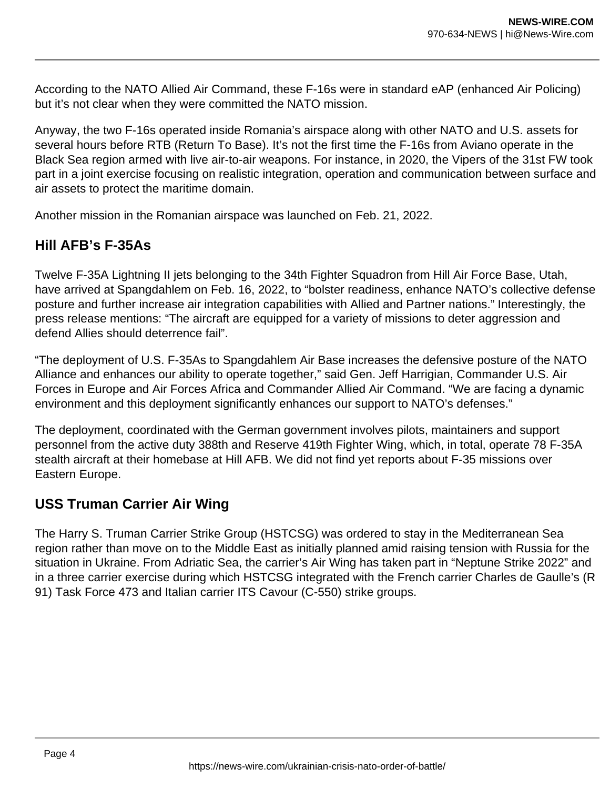According to the NATO Allied Air Command, these F-16s were in standard eAP (enhanced Air Policing) but it's not clear when they were committed the NATO mission.

Anyway, the two F-16s operated inside Romania's airspace along with other NATO and U.S. assets for several hours before RTB (Return To Base). It's not the first time the F-16s from Aviano operate in the Black Sea region armed with live air-to-air weapons. For instance, in 2020, the Vipers of the 31st FW took part in a joint exercise focusing on realistic integration, operation and communication between surface and air assets to protect the maritime domain.

Another mission in the Romanian airspace was launched on Feb. 21, 2022.

# **Hill AFB's F-35As**

Twelve F-35A Lightning II jets belonging to the 34th Fighter Squadron from Hill Air Force Base, Utah, have arrived at Spangdahlem on Feb. 16, 2022, to "bolster readiness, enhance NATO's collective defense posture and further increase air integration capabilities with Allied and Partner nations." Interestingly, the press release mentions: "The aircraft are equipped for a variety of missions to deter aggression and defend Allies should deterrence fail".

"The deployment of U.S. F-35As to Spangdahlem Air Base increases the defensive posture of the NATO Alliance and enhances our ability to operate together," said Gen. Jeff Harrigian, Commander U.S. Air Forces in Europe and Air Forces Africa and Commander Allied Air Command. "We are facing a dynamic environment and this deployment significantly enhances our support to NATO's defenses."

The deployment, coordinated with the German government involves pilots, maintainers and support personnel from the active duty 388th and Reserve 419th Fighter Wing, which, in total, operate 78 F-35A stealth aircraft at their homebase at Hill AFB. We did not find yet reports about F-35 missions over Eastern Europe.

# **USS Truman Carrier Air Wing**

The Harry S. Truman Carrier Strike Group (HSTCSG) was ordered to stay in the Mediterranean Sea region rather than move on to the Middle East as initially planned amid raising tension with Russia for the situation in Ukraine. From Adriatic Sea, the carrier's Air Wing has taken part in "Neptune Strike 2022" and in a three carrier exercise during which HSTCSG integrated with the French carrier Charles de Gaulle's (R 91) Task Force 473 and Italian carrier ITS Cavour (C-550) strike groups.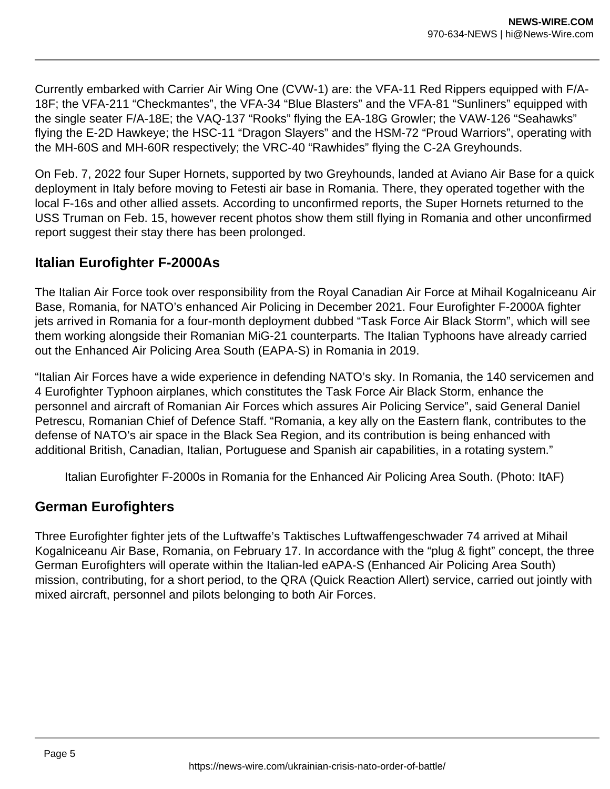Currently embarked with Carrier Air Wing One (CVW-1) are: the VFA-11 Red Rippers equipped with F/A-18F; the VFA-211 "Checkmantes", the VFA-34 "Blue Blasters" and the VFA-81 "Sunliners" equipped with the single seater F/A-18E; the VAQ-137 "Rooks" flying the EA-18G Growler; the VAW-126 "Seahawks" flying the E-2D Hawkeye; the HSC-11 "Dragon Slayers" and the HSM-72 "Proud Warriors", operating with the MH-60S and MH-60R respectively; the VRC-40 "Rawhides" flying the C-2A Greyhounds.

On Feb. 7, 2022 four Super Hornets, supported by two Greyhounds, landed at Aviano Air Base for a quick deployment in Italy before moving to Fetesti air base in Romania. There, they operated together with the local F-16s and other allied assets. According to unconfirmed reports, the Super Hornets returned to the USS Truman on Feb. 15, however recent photos show them still flying in Romania and other unconfirmed report suggest their stay there has been prolonged.

# **Italian Eurofighter F-2000As**

The Italian Air Force took over responsibility from the Royal Canadian Air Force at Mihail Kogalniceanu Air Base, Romania, for NATO's enhanced Air Policing in December 2021. Four Eurofighter F-2000A fighter jets arrived in Romania for a four-month deployment dubbed "Task Force Air Black Storm", which will see them working alongside their Romanian MiG-21 counterparts. The Italian Typhoons have already carried out the Enhanced Air Policing Area South (EAPA-S) in Romania in 2019.

"Italian Air Forces have a wide experience in defending NATO's sky. In Romania, the 140 servicemen and 4 Eurofighter Typhoon airplanes, which constitutes the Task Force Air Black Storm, enhance the personnel and aircraft of Romanian Air Forces which assures Air Policing Service", said General Daniel Petrescu, Romanian Chief of Defence Staff. "Romania, a key ally on the Eastern flank, contributes to the defense of NATO's air space in the Black Sea Region, and its contribution is being enhanced with additional British, Canadian, Italian, Portuguese and Spanish air capabilities, in a rotating system."

Italian Eurofighter F-2000s in Romania for the Enhanced Air Policing Area South. (Photo: ItAF)

# **German Eurofighters**

Three Eurofighter fighter jets of the Luftwaffe's Taktisches Luftwaffengeschwader 74 arrived at Mihail Kogalniceanu Air Base, Romania, on February 17. In accordance with the "plug & fight" concept, the three German Eurofighters will operate within the Italian-led eAPA-S (Enhanced Air Policing Area South) mission, contributing, for a short period, to the QRA (Quick Reaction Allert) service, carried out jointly with mixed aircraft, personnel and pilots belonging to both Air Forces.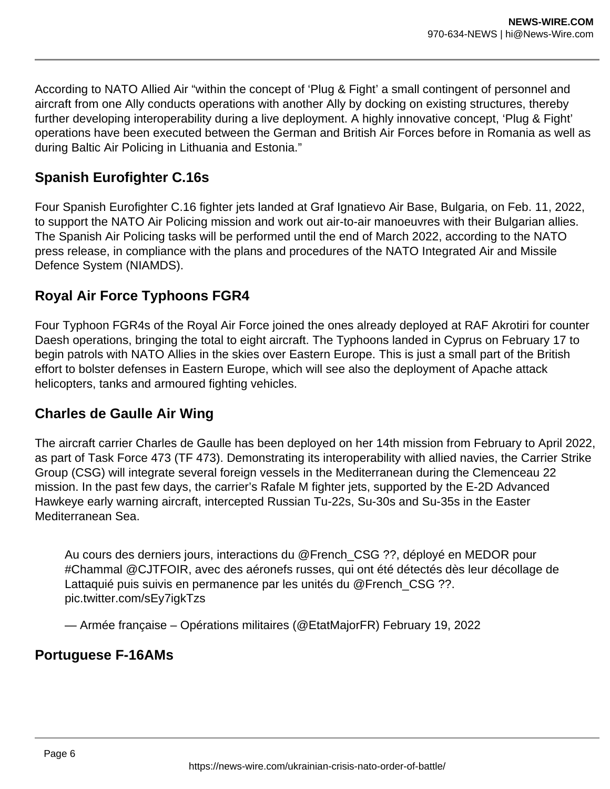According to NATO Allied Air "within the concept of 'Plug & Fight' a small contingent of personnel and aircraft from one Ally conducts operations with another Ally by docking on existing structures, thereby further developing interoperability during a live deployment. A highly innovative concept, 'Plug & Fight' operations have been executed between the German and British Air Forces before in Romania as well as during Baltic Air Policing in Lithuania and Estonia."

# **Spanish Eurofighter C.16s**

Four Spanish Eurofighter C.16 fighter jets landed at Graf Ignatievo Air Base, Bulgaria, on Feb. 11, 2022, to support the NATO Air Policing mission and work out air-to-air manoeuvres with their Bulgarian allies. The Spanish Air Policing tasks will be performed until the end of March 2022, according to the NATO press release, in compliance with the plans and procedures of the NATO Integrated Air and Missile Defence System (NIAMDS).

# **Royal Air Force Typhoons FGR4**

Four Typhoon FGR4s of the Royal Air Force joined the ones already deployed at RAF Akrotiri for counter Daesh operations, bringing the total to eight aircraft. The Typhoons landed in Cyprus on February 17 to begin patrols with NATO Allies in the skies over Eastern Europe. This is just a small part of the British effort to bolster defenses in Eastern Europe, which will see also the deployment of Apache attack helicopters, tanks and armoured fighting vehicles.

# **Charles de Gaulle Air Wing**

The aircraft carrier Charles de Gaulle has been deployed on her 14th mission from February to April 2022, as part of Task Force 473 (TF 473). Demonstrating its interoperability with allied navies, the Carrier Strike Group (CSG) will integrate several foreign vessels in the Mediterranean during the Clemenceau 22 mission. In the past few days, the carrier's Rafale M fighter jets, supported by the E-2D Advanced Hawkeye early warning aircraft, intercepted Russian Tu-22s, Su-30s and Su-35s in the Easter Mediterranean Sea.

Au cours des derniers jours, interactions du @French\_CSG ??, déployé en MEDOR pour #Chammal @CJTFOIR, avec des aéronefs russes, qui ont été détectés dès leur décollage de Lattaquié puis suivis en permanence par les unités du @French\_CSG ??. pic.twitter.com/sEy7igkTzs

— Armée française – Opérations militaires (@EtatMajorFR) February 19, 2022

#### **Portuguese F-16AMs**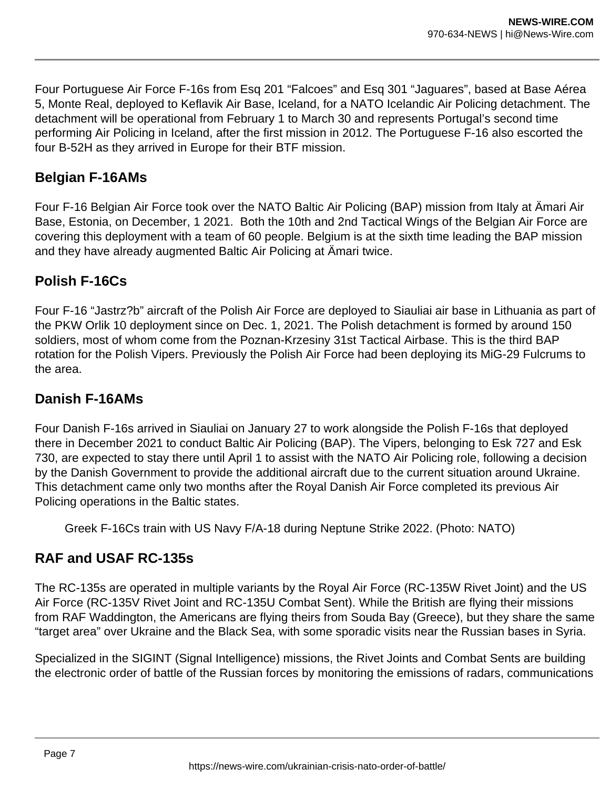Four Portuguese Air Force F-16s from Esq 201 "Falcoes" and Esq 301 "Jaguares", based at Base Aérea 5, Monte Real, deployed to Keflavik Air Base, Iceland, for a NATO Icelandic Air Policing detachment. The detachment will be operational from February 1 to March 30 and represents Portugal's second time performing Air Policing in Iceland, after the first mission in 2012. The Portuguese F-16 also escorted the four B-52H as they arrived in Europe for their BTF mission.

# **Belgian F-16AMs**

Four F-16 Belgian Air Force took over the NATO Baltic Air Policing (BAP) mission from Italy at Ämari Air Base, Estonia, on December, 1 2021. Both the 10th and 2nd Tactical Wings of the Belgian Air Force are covering this deployment with a team of 60 people. Belgium is at the sixth time leading the BAP mission and they have already augmented Baltic Air Policing at Ämari twice.

# **Polish F-16Cs**

Four F-16 "Jastrz?b" aircraft of the Polish Air Force are deployed to Siauliai air base in Lithuania as part of the PKW Orlik 10 deployment since on Dec. 1, 2021. The Polish detachment is formed by around 150 soldiers, most of whom come from the Poznan-Krzesiny 31st Tactical Airbase. This is the third BAP rotation for the Polish Vipers. Previously the Polish Air Force had been deploying its MiG-29 Fulcrums to the area.

# **Danish F-16AMs**

Four Danish F-16s arrived in Siauliai on January 27 to work alongside the Polish F-16s that deployed there in December 2021 to conduct Baltic Air Policing (BAP). The Vipers, belonging to Esk 727 and Esk 730, are expected to stay there until April 1 to assist with the NATO Air Policing role, following a decision by the Danish Government to provide the additional aircraft due to the current situation around Ukraine. This detachment came only two months after the Royal Danish Air Force completed its previous Air Policing operations in the Baltic states.

Greek F-16Cs train with US Navy F/A-18 during Neptune Strike 2022. (Photo: NATO)

# **RAF and USAF RC-135s**

The RC-135s are operated in multiple variants by the Royal Air Force (RC-135W Rivet Joint) and the US Air Force (RC-135V Rivet Joint and RC-135U Combat Sent). While the British are flying their missions from RAF Waddington, the Americans are flying theirs from Souda Bay (Greece), but they share the same "target area" over Ukraine and the Black Sea, with some sporadic visits near the Russian bases in Syria.

Specialized in the SIGINT (Signal Intelligence) missions, the Rivet Joints and Combat Sents are building the electronic order of battle of the Russian forces by monitoring the emissions of radars, communications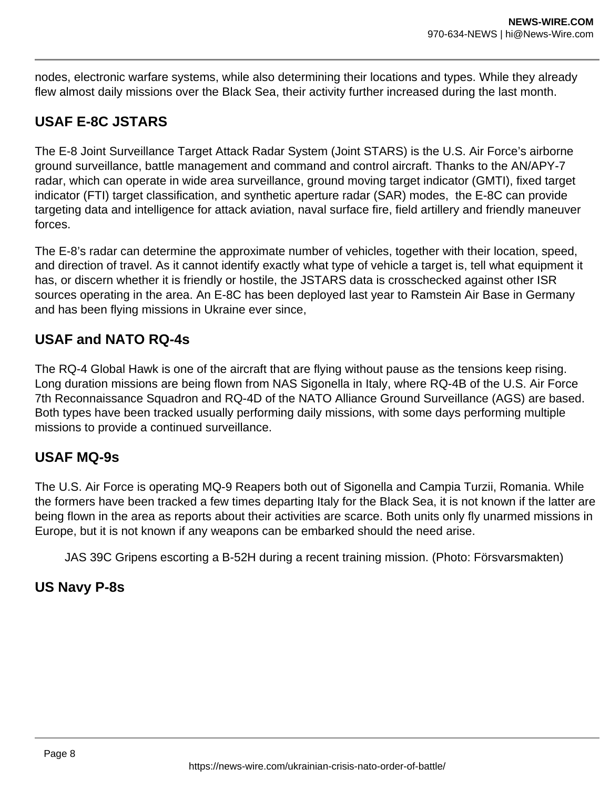nodes, electronic warfare systems, while also determining their locations and types. While they already flew almost daily missions over the Black Sea, their activity further increased during the last month.

# **USAF E-8C JSTARS**

The E-8 Joint Surveillance Target Attack Radar System (Joint STARS) is the U.S. Air Force's airborne ground surveillance, battle management and command and control aircraft. Thanks to the AN/APY-7 radar, which can operate in wide area surveillance, ground moving target indicator (GMTI), fixed target indicator (FTI) target classification, and synthetic aperture radar (SAR) modes, the E-8C can provide targeting data and intelligence for attack aviation, naval surface fire, field artillery and friendly maneuver forces.

The E-8's radar can determine the approximate number of vehicles, together with their location, speed, and direction of travel. As it cannot identify exactly what type of vehicle a target is, tell what equipment it has, or discern whether it is friendly or hostile, the JSTARS data is crosschecked against other ISR sources operating in the area. An E-8C has been deployed last year to Ramstein Air Base in Germany and has been flying missions in Ukraine ever since,

# **USAF and NATO RQ-4s**

The RQ-4 Global Hawk is one of the aircraft that are flying without pause as the tensions keep rising. Long duration missions are being flown from NAS Sigonella in Italy, where RQ-4B of the U.S. Air Force 7th Reconnaissance Squadron and RQ-4D of the NATO Alliance Ground Surveillance (AGS) are based. Both types have been tracked usually performing daily missions, with some days performing multiple missions to provide a continued surveillance.

# **USAF MQ-9s**

The U.S. Air Force is operating MQ-9 Reapers both out of Sigonella and Campia Turzii, Romania. While the formers have been tracked a few times departing Italy for the Black Sea, it is not known if the latter are being flown in the area as reports about their activities are scarce. Both units only fly unarmed missions in Europe, but it is not known if any weapons can be embarked should the need arise.

JAS 39C Gripens escorting a B-52H during a recent training mission. (Photo: Försvarsmakten)

# **US Navy P-8s**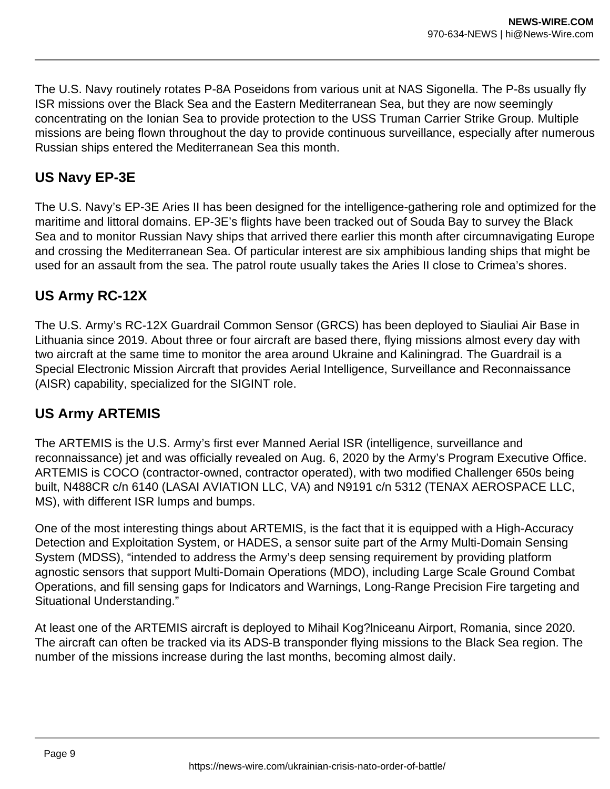The U.S. Navy routinely rotates P-8A Poseidons from various unit at NAS Sigonella. The P-8s usually fly ISR missions over the Black Sea and the Eastern Mediterranean Sea, but they are now seemingly concentrating on the Ionian Sea to provide protection to the USS Truman Carrier Strike Group. Multiple missions are being flown throughout the day to provide continuous surveillance, especially after numerous Russian ships entered the Mediterranean Sea this month.

# **US Navy EP-3E**

The U.S. Navy's EP-3E Aries II has been designed for the intelligence-gathering role and optimized for the maritime and littoral domains. EP-3E's flights have been tracked out of Souda Bay to survey the Black Sea and to monitor Russian Navy ships that arrived there earlier this month after circumnavigating Europe and crossing the Mediterranean Sea. Of particular interest are six amphibious landing ships that might be used for an assault from the sea. The patrol route usually takes the Aries II close to Crimea's shores.

# **US Army RC-12X**

The U.S. Army's RC-12X Guardrail Common Sensor (GRCS) has been deployed to Siauliai Air Base in Lithuania since 2019. About three or four aircraft are based there, flying missions almost every day with two aircraft at the same time to monitor the area around Ukraine and Kaliningrad. The Guardrail is a Special Electronic Mission Aircraft that provides Aerial Intelligence, Surveillance and Reconnaissance (AISR) capability, specialized for the SIGINT role.

# **US Army ARTEMIS**

The ARTEMIS is the U.S. Army's first ever Manned Aerial ISR (intelligence, surveillance and reconnaissance) jet and was officially revealed on Aug. 6, 2020 by the Army's Program Executive Office. ARTEMIS is COCO (contractor-owned, contractor operated), with two modified Challenger 650s being built, N488CR c/n 6140 (LASAI AVIATION LLC, VA) and N9191 c/n 5312 (TENAX AEROSPACE LLC, MS), with different ISR lumps and bumps.

One of the most interesting things about ARTEMIS, is the fact that it is equipped with a High-Accuracy Detection and Exploitation System, or HADES, a sensor suite part of the Army Multi-Domain Sensing System (MDSS), "intended to address the Army's deep sensing requirement by providing platform agnostic sensors that support Multi-Domain Operations (MDO), including Large Scale Ground Combat Operations, and fill sensing gaps for Indicators and Warnings, Long-Range Precision Fire targeting and Situational Understanding."

At least one of the ARTEMIS aircraft is deployed to Mihail Kog?lniceanu Airport, Romania, since 2020. The aircraft can often be tracked via its ADS-B transponder flying missions to the Black Sea region. The number of the missions increase during the last months, becoming almost daily.